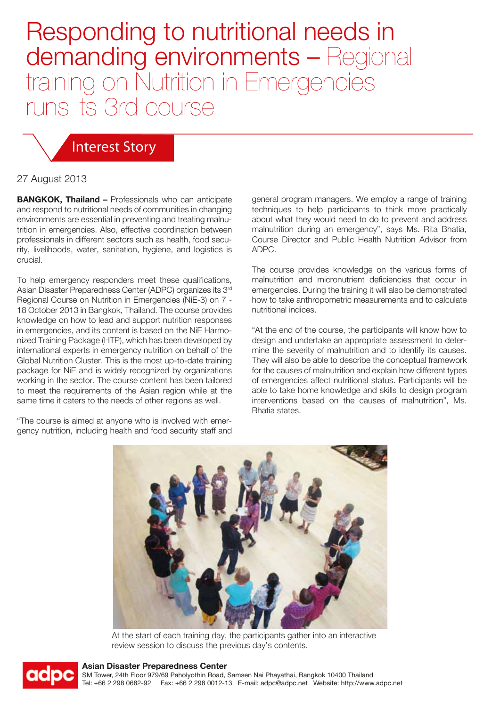# Responding to nutritional needs in demanding environments - Regional training on Nutrition in Emergencies runs its 3rd course

### Interest Story

#### 27 August 2013

**BANGKOK, Thailand –** Professionals who can anticipate and respond to nutritional needs of communities in changing environments are essential in preventing and treating malnutrition in emergencies. Also, effective coordination between professionals in different sectors such as health, food security, livelihoods, water, sanitation, hygiene, and logistics is crucial.

To help emergency responders meet these qualifications, Asian Disaster Preparedness Center (ADPC) organizes its 3rd Regional Course on Nutrition in Emergencies (NiE-3) on 7 - 18 October 2013 in Bangkok, Thailand. The course provides knowledge on how to lead and support nutrition responses in emergencies, and its content is based on the NiE Harmonized Training Package (HTP), which has been developed by international experts in emergency nutrition on behalf of the Global Nutrition Cluster. This is the most up-to-date training package for NiE and is widely recognized by organizations working in the sector. The course content has been tailored to meet the requirements of the Asian region while at the same time it caters to the needs of other regions as well.

"The course is aimed at anyone who is involved with emergency nutrition, including health and food security staff and general program managers. We employ a range of training techniques to help participants to think more practically about what they would need to do to prevent and address malnutrition during an emergency", says Ms. Rita Bhatia, Course Director and Public Health Nutrition Advisor from ADPC.

The course provides knowledge on the various forms of malnutrition and micronutrient deficiencies that occur in emergencies. During the training it will also be demonstrated how to take anthropometric measurements and to calculate nutritional indices.

"At the end of the course, the participants will know how to design and undertake an appropriate assessment to determine the severity of malnutrition and to identify its causes. They will also be able to describe the conceptual framework for the causes of malnutrition and explain how different types of emergencies affect nutritional status. Participants will be able to take home knowledge and skills to design program interventions based on the causes of malnutrition", Ms. Bhatia states.



At the start of each training day, the participants gather into an interactive review session to discuss the previous day's contents.



#### **Asian Disaster Preparedness Center**

SM Tower, 24th Floor 979/69 Paholyothin Road, Samsen Nai Phayathai, Bangkok 10400 Thailand Tel: +66 2 298 0682-92 Fax: +66 2 298 0012-13 E-mail: adpc@adpc.net Website: http://www.adpc.net